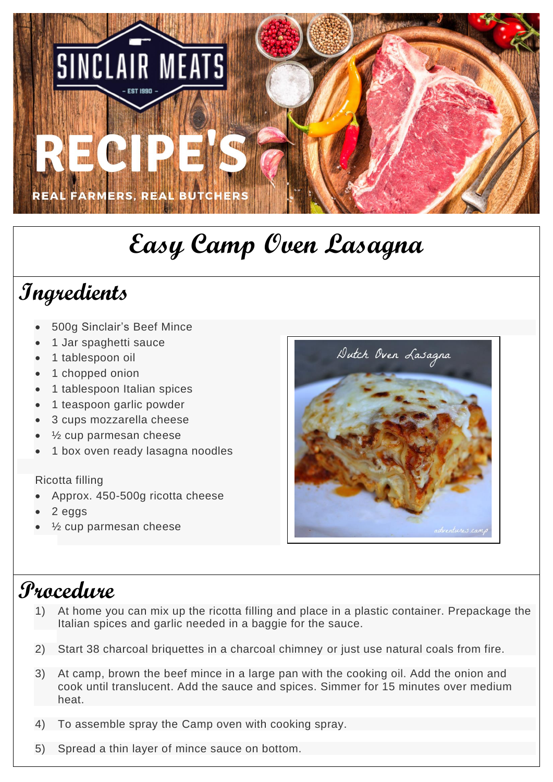

## **Easy Camp Oven Lasagna**

## **Ingredients**

- 500g Sinclair's Beef Mince
- 1 Jar spaghetti sauce
- 1 tablespoon oil
- 1 chopped onion
- 1 tablespoon Italian spices
- 1 teaspoon garlic powder
- 3 cups mozzarella cheese
- $\frac{1}{2}$  cup parmesan cheese
- 1 box oven ready lasagna noodles

## Ricotta filling

- Approx. 450-500g ricotta cheese
- 2 eggs
- $\frac{1}{2}$  cup parmesan cheese



## **Procedure**

- 1) At home you can mix up the ricotta filling and place in a plastic container. Prepackage the Italian spices and garlic needed in a baggie for the sauce.
- 2) Start 38 charcoal briquettes in a charcoal chimney or just use natural coals from fire.
- 3) At camp, brown the beef mince in a large pan with the cooking oil. Add the onion and cook until translucent. Add the sauce and spices. Simmer for 15 minutes over medium heat.
- 4) To assemble spray the Camp oven with cooking spray.
- 5) Spread a thin layer of mince sauce on bottom.